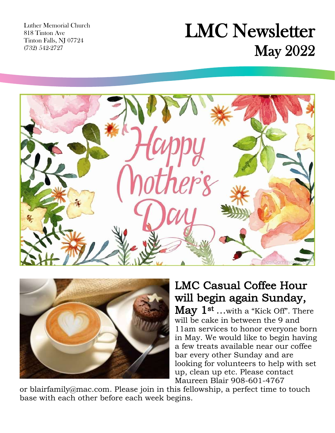Luther Memorial Church 818 Tinton Ave Tinton Falls, NJ 07724 (732) 542-2727

## LMC Newsletter May 2022





### LMC Casual Coffee Hour will begin again Sunday,

May  $1^{st}$  ...with a "Kick Off". There will be cake in between the 9 and 11am services to honor everyone born in May. We would like to begin having a few treats available near our coffee bar every other Sunday and are looking for volunteers to help with set up, clean up etc. Please contact Maureen Blair 908-601-4767

or [blairfamily@mac.com.](mailto:blairfamily@mac.com) Please join in this fellowship, a perfect time to touch base with each other before each week begins.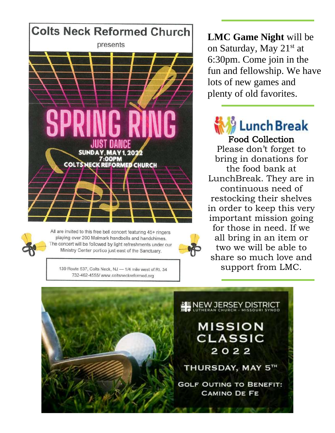

All are invited to this free bell concert featuring 45+ ringers playing over 200 Malmark handbells and handchimes. The concert will be followed by light refreshments under our Ministry Center portico just east of the Sanctuary.

139 Route 537, Colts Neck, NJ - 1/4 mile west of Rt. 34 732-462-4555/www.coltsneckreformed.org

**LMC Game Night** will be on Saturday, May 21st at 6:30pm. Come join in the fun and fellowship. We have lots of new games and plenty of old favorites .

Food Collection

Please don't forget to bring in donations for the food bank at LunchBreak. They are in continuous need of restocking their shelves in order to keep this very important mission going for those in need. If we all bring in an item or two we will be able to share so much love and support from LMC.

NEW JERSEY DISTRICT **MISSION CLASSIC** 2022 THURSDAY, MAY 5TH **GOLF OUTING TO BENEFIT: CAMINO DE FE**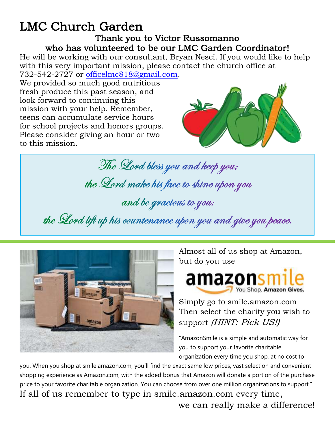#### LMC Church Garden Thank you to Victor Russomanno who has volunteered to be our LMC Garden Coordinator!

He will be working with our consultant, Bryan Nesci. If you would like to help with this very important mission, please contact the church office at 732-542-2727 or [officelmc818@gmail.com.](about:blank)

We provided so much good nutritious fresh produce this past season, and look forward to continuing this mission with your help. Remember, teens can accumulate service hours for school projects and honors groups. Please consider giving an hour or two to this mission.



 $\overline{a}$ The Lord bless you and keep you; the Lord make his face to shine upon you and be gracious to you; the Lord lift up his countenance upon you and give you peace.



Almost all of us shop at Amazon, but do you use



Simply go to smile.amazon.com Then select the charity you wish to support *(HINT: Pick US!)* 

"AmazonSmile is a simple and automatic way for you to support your favorite charitable organization every time you shop, at no cost to

you. When you shop at smile.amazon.com, you'll find the exact same low prices, vast selection and convenient shopping experience as Amazon.com, with the added bonus that Amazon will donate a portion of the purchase price to your favorite charitable organization. You can choose from over one million organizations to support." If all of us remember to type in smile.amazon.com every time, we can really make a difference!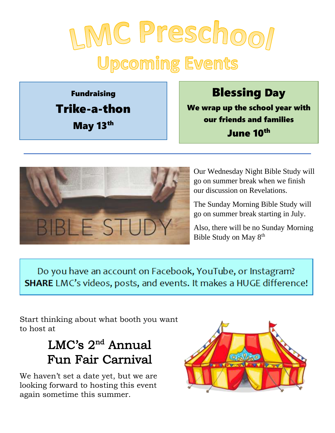# LMC Preschool **Upcoming Events**

Fundraising Trike-a-thon May 13<sup>th</sup>

Blessing Day

We wrap up the school year with our friends and families June 10th



Our Wednesday Night Bible Study will go on summer break when we finish our discussion on Revelations.

The Sunday Morning Bible Study will go on summer break starting in July.

Also, there will be no Sunday Morning Bible Study on May 8th

Do you have an account on Facebook, YouTube, or Instagram? **SHARE** LMC's videos, posts, and events. It makes a HUGE difference!

Start thinking about what booth you want to host at

## LMC's 2<sup>nd</sup> Annual Fun Fair Carnival

We haven't set a date yet, but we are looking forward to hosting this event again sometime this summer.

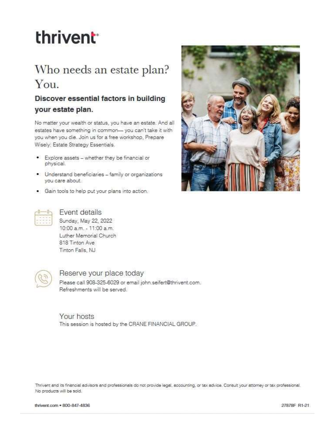## thrivent<sup>®</sup>

## Who needs an estate plan? You.

#### Discover essential factors in building your estate plan.

No matter your wealth or status, you have an estate. And all estates have something in common-you can't take it with you when you die. Join us for a free workshop, Prepare Wisely: Estate Strategy Essentials.

- Explore assets whether they be financial or physical.
- Understand beneficiaries family or organizations you care about.
- . Gain tools to help put your plans into action.





### Event details

Sunday, May 22, 2022 10:00 a.m. - 11:00 a.m. Luther Memorial Church 818 Tinton Ave Tinton Falls, NJ



#### Reserve your place today

Please call 908-325-6029 or email john.seifert@thrivent.com. Refreshments will be served.

Your hosts This session is hosted by the CRANE FINANCIAL GROUP.

Thrivent and its financial advisors and professionals do not provide legal, accounting, or tax advice. Consult your attorney or tax professional. No products will be sold.